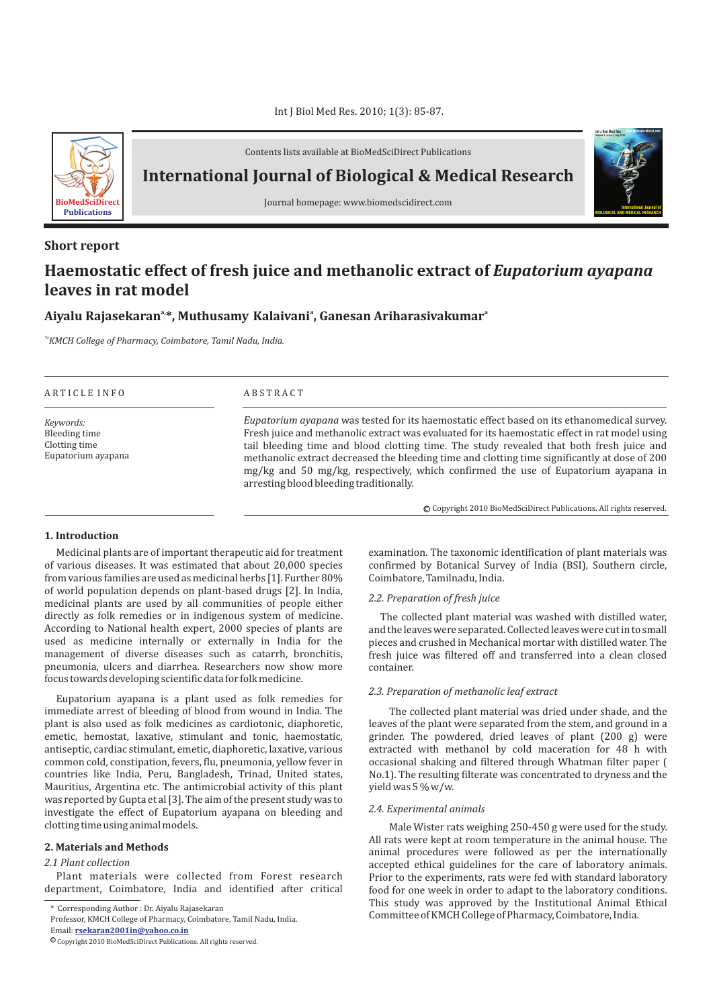Int J Biol Med Res. 2010; 1(3): 85-87.



Contents lists available at BioMedSciDirect Publications

**International Journal of Biological & Medical Research** 



## **Short report**

# **Haemostatic effect of fresh juice and methanolic extract of**  *Eupatorium ayapana* **leaves in rat model**

# **a a Aiyalu Rajasekaran , Muthusamy Kalaivani , Ganesan Ariharasivakumar a,\***

*\*aKMCH College of Pharmacy, Coimbatore, Tamil Nadu, India.*

### A R T I C L E I N F O A B S T R A C T

*Keywords:* Bleeding time Clotting time Eupatorium ayapana

*Eupatorium ayapana* was tested for its haemostatic effect based on its ethanomedical survey. Fresh juice and methanolic extract was evaluated for its haemostatic effect in rat model using tail bleeding time and blood clotting time. The study revealed that both fresh juice and methanolic extract decreased the bleeding time and clotting time significantly at dose of 200 mg/kg and 50 mg/kg, respectively, which confirmed the use of Eupatorium ayapana in arresting blood bleeding traditionally.

© Copyright 2010 BioMedSciDirect Publications. All rights reserved.

**International Journal of BIOLOGICAL AND MEDICAL RESEARCH**

**Int J Biol Med Res www.biomedscidirect.com Volume 3, Issue 3, July 2010**

#### **1. Introduction**

Medicinal plants are of important therapeutic aid for treatment of various diseases. It was estimated that about 20,000 species from various families are used as medicinal herbs [1]. Further 80% of world population depends on plant-based drugs [2]. In India, medicinal plants are used by all communities of people either directly as folk remedies or in indigenous system of medicine. According to National health expert, 2000 species of plants are used as medicine internally or externally in India for the management of diverse diseases such as catarrh, bronchitis, pneumonia, ulcers and diarrhea. Researchers now show more focus towards developing scientific data for folk medicine.

Eupatorium ayapana is a plant used as folk remedies for immediate arrest of bleeding of blood from wound in India. The plant is also used as folk medicines as cardiotonic, diaphoretic, emetic, hemostat, laxative, stimulant and tonic, haemostatic, antiseptic, cardiac stimulant, emetic, diaphoretic, laxative, various common cold, constipation, fevers, flu, pneumonia, yellow fever in countries like India, Peru, Bangladesh, Trinad, United states, Mauritius, Argentina etc. The antimicrobial activity of this plant was reported by Gupta et al [3]. The aim of the present study was to investigate the effect of Eupatorium ayapana on bleeding and clotting time using animal models.

#### **2. Materials and Methods**

#### *2.1 Plant collection*

Plant materials were collected from Forest research department, Coimbatore, India and identified after critical examination. The taxonomic identification of plant materials was confirmed by Botanical Survey of India (BSI), Southern circle, Coimbatore, Tamilnadu, India.

#### *2.2. Preparation of fresh juice*

The collected plant material was washed with distilled water, and the leaves were separated. Collected leaves were cut in to small pieces and crushed in Mechanical mortar with distilled water. The fresh juice was filtered off and transferred into a clean closed container.

#### *2.3. Preparation of methanolic leaf extract*

The collected plant material was dried under shade, and the leaves of the plant were separated from the stem, and ground in a grinder. The powdered, dried leaves of plant (200 g) were extracted with methanol by cold maceration for 48 h with occasional shaking and filtered through Whatman filter paper ( No.1). The resulting filterate was concentrated to dryness and the yield was 5 % w/w.

#### *2.4. Experimental animals*

Male Wister rats weighing 250-450 g were used for the study. All rats were kept at room temperature in the animal house. The animal procedures were followed as per the internationally accepted ethical guidelines for the care of laboratory animals. Prior to the experiments, rats were fed with standard laboratory food for one week in order to adapt to the laboratory conditions. This study was approved by the Institutional Animal Ethical Committee of KMCH College of Pharmacy, Coimbatore, India.

<sup>\*</sup> Corresponding Author : Dr. Aiyalu Rajasekaran

Professor, KMCH College of Pharmacy, Coimbatore, Tamil Nadu, India.

Email: **rsekaran2001in@yahoo.co.in**

 $\mathbb O$  Copyright 2010 BioMedSciDirect Publications. All rights reserved.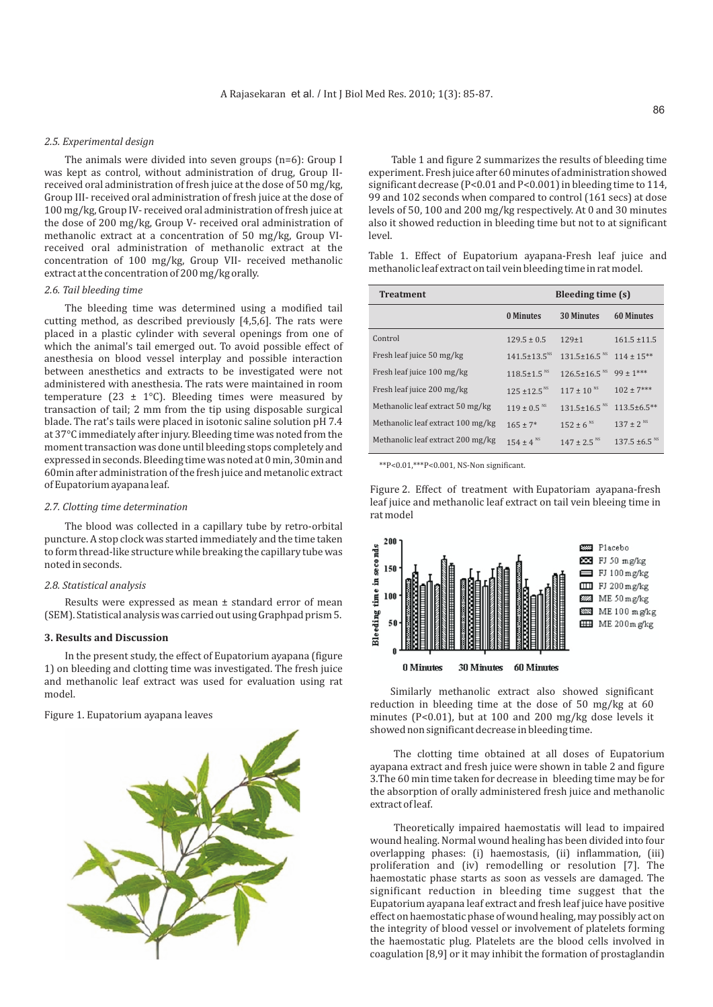#### *2.5. Experimental design*

The animals were divided into seven groups (n=6): Group I was kept as control, without administration of drug, Group IIreceived oral administration of fresh juice at the dose of 50 mg/kg, Group III- received oral administration of fresh juice at the dose of 100 mg/kg, Group IV- received oral administration of fresh juice at the dose of 200 mg/kg, Group V- received oral administration of methanolic extract at a concentration of 50 mg/kg, Group VIreceived oral administration of methanolic extract at the concentration of 100 mg/kg, Group VII- received methanolic extract at the concentration of 200 mg/kg orally.

#### *2.6. Tail bleeding time*

The bleeding time was determined using a modified tail cutting method, as described previously [4,5,6]. The rats were placed in a plastic cylinder with several openings from one of which the animal's tail emerged out. To avoid possible effect of anesthesia on blood vessel interplay and possible interaction between anesthetics and extracts to be investigated were not administered with anesthesia. The rats were maintained in room temperature (23  $\pm$  1°C). Bleeding times were measured by transaction of tail; 2 mm from the tip using disposable surgical blade. The rat's tails were placed in isotonic saline solution pH 7.4 at 37°C immediately after injury. Bleeding time was noted from the moment transaction was done until bleeding stops completely and expressed in seconds. Bleeding time was noted at 0 min, 30min and 60min after administration of the fresh juice and metanolic extract of Eupatorium ayapana leaf.

#### *2.7. Clotting time determination*

The blood was collected in a capillary tube by retro-orbital puncture. A stop clock was started immediately and the time taken to form thread-like structure while breaking the capillary tube was noted in seconds.

#### *2.8. Statistical analysis*

Results were expressed as mean ± standard error of mean (SEM). Statistical analysis was carried out using Graphpad prism 5.

#### **3. Results and Discussion**

In the present study, the effect of Eupatorium ayapana (figure 1) on bleeding and clotting time was investigated. The fresh juice and methanolic leaf extract was used for evaluation using rat model.

#### Figure 1. Eupatorium ayapana leaves



Table 1 and figure 2 summarizes the results of bleeding time experiment. Fresh juice after 60 minutes of administration showed significant decrease (P<0.01 and P<0.001) in bleeding time to 114, 99 and 102 seconds when compared to control (161 secs) at dose levels of 50, 100 and 200 mg/kg respectively. At 0 and 30 minutes also it showed reduction in bleeding time but not to at significant level.

Table 1. Effect of Eupatorium ayapana-Fresh leaf juice and methanolic leaf extract on tail vein bleeding time in rat model.

| <b>Treatment</b>                  | Bleeding time (s)              |                                |                               |
|-----------------------------------|--------------------------------|--------------------------------|-------------------------------|
|                                   | 0 Minutes                      | <b>30 Minutes</b>              | <b>60 Minutes</b>             |
| Control                           | $129.5 \pm 0.5$                | $129+1$                        | $161.5 \pm 11.5$              |
| Fresh leaf juice 50 mg/kg         | $141.5 \pm 13.5$ <sup>NS</sup> | $131.5 \pm 16.5$ <sup>NS</sup> | $114 \pm 15***$               |
| Fresh leaf juice 100 mg/kg        | $118.5 + 1.5$ <sup>NS</sup>    | $126.5 \pm 16.5$ <sup>NS</sup> | $99 \pm 1***$                 |
| Fresh leaf juice 200 mg/kg        | $125 \pm 12.5$ <sup>NS</sup>   | $117 \pm 10^{N_S}$             | $102 \pm 7***$                |
| Methanolic leaf extract 50 mg/kg  | $119 + 0.5$ <sup>NS</sup>      | $131.5 \pm 16.5$ <sup>NS</sup> | $113.5 \pm 6.5**$             |
| Methanolic leaf extract 100 mg/kg | $165 + 7*$                     | $152 \pm 6$ <sup>NS</sup>      | $137 \pm 2$ <sup>NS</sup>     |
| Methanolic leaf extract 200 mg/kg | $154 + 4$ <sup>NS</sup>        | $147 \pm 2.5$ <sup>NS</sup>    | $137.5 \pm 6.5$ <sup>NS</sup> |

\*\*P<0.01,\*\*\*P<0.001, NS-Non significant.

Figure 2. Effect of treatment with Eupatoriam ayapana-fresh leaf juice and methanolic leaf extract on tail vein bleeing time in rat model



Similarly methanolic extract also showed significant reduction in bleeding time at the dose of 50 mg/kg at 60 minutes (P<0.01), but at 100 and 200 mg/kg dose levels it showed non significant decrease in bleeding time.

The clotting time obtained at all doses of Eupatorium ayapana extract and fresh juice were shown in table 2 and figure 3.The 60 min time taken for decrease in bleeding time may be for the absorption of orally administered fresh juice and methanolic extract of leaf.

Theoretically impaired haemostatis will lead to impaired wound healing. Normal wound healing has been divided into four overlapping phases: (i) haemostasis, (ii) inflammation, (iii) proliferation and (iv) remodelling or resolution [7]. The haemostatic phase starts as soon as vessels are damaged. The significant reduction in bleeding time suggest that the Eupatorium ayapana leaf extract and fresh leaf juice have positive effect on haemostatic phase of wound healing, may possibly act on the integrity of blood vessel or involvement of platelets forming the haemostatic plug. Platelets are the blood cells involved in coagulation [8,9] or it may inhibit the formation of prostaglandin